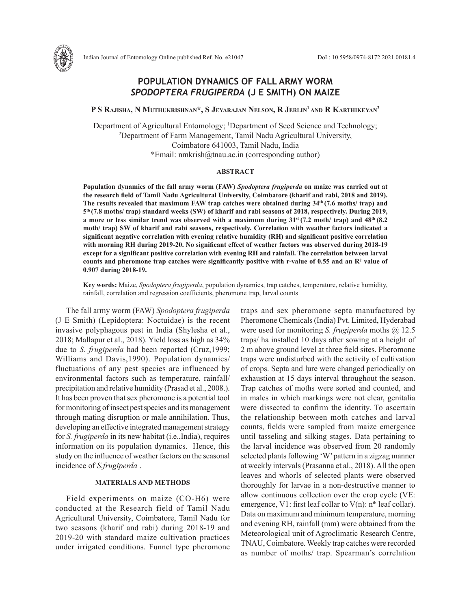

P S Rajisha, N Muthukrishnan\*, S Jeyarajan Nelson, R Jerlin<sup>1</sup> and R Karthikeyan<sup>2</sup>

Department of Agricultural Entomology; 1 Department of Seed Science and Technology; 2 Department of Farm Management, Tamil Nadu Agricultural University, Coimbatore 641003, Tamil Nadu, India \*Email: nmkrish@tnau.ac.in (corresponding author)

#### **ABSTRACT**

**Population dynamics of the fall army worm (FAW)** *Spodoptera frugiperda* **on maize was carried out at the research field of Tamil Nadu Agricultural University, Coimbatore (kharif and rabi, 2018 and 2019). The results revealed that maximum FAW trap catches were obtained during 34th (7.6 moths/ trap) and 5th (7.8 moths/ trap) standard weeks (SW) of kharif and rabi seasons of 2018, respectively. During 2019, a** more or less similar trend was observed with a maximum during  $31$ <sup>st</sup> (7.2 moth/ trap) and  $48$ <sup>th</sup> (8.2 **moth/ trap) SW of kharif and rabi seasons, respectively. Correlation with weather factors indicated a significant negative correlation with evening relative humidity (RH) and significant positive correlation with morning RH during 2019-20. No significant effect of weather factors was observed during 2018-19 except for a significant positive correlation with evening RH and rainfall. The correlation between larval**  counts and pheromone trap catches were significantly positive with r-value of 0.55 and an R<sup>2</sup> value of **0.907 during 2018-19.**

**Key words:** Maize, *Spodoptera frugiperda*, population dynamics, trap catches, temperature, relative humidity, rainfall, correlation and regression coefficients, pheromone trap, larval counts

The fall army worm (FAW) *Spodoptera frugiperda* (J E Smith) (Lepidoptera: Noctuidae) is the recent invasive polyphagous pest in India (Shylesha et al., 2018; Mallapur et al., 2018). Yield loss as high as 34% due to *S. frugiperda* had been reported (Cruz,1999; Williams and Davis,1990). Population dynamics/ fluctuations of any pest species are influenced by environmental factors such as temperature, rainfall/ precipitation and relative humidity (Prasad et al., 2008.). It has been proven that sex pheromone is a potential tool for monitoring of insect pest species and its management through mating disruption or male annihilation. Thus, developing an effective integrated management strategy for *S. frugiperda* in its new habitat (i.e.,India), requires information on its population dynamics. Hence, this study on the influence of weather factors on the seasonal incidence of *S.frugiperda* .

# **MATERIALS AND METHODS**

Field experiments on maize (CO-H6) were conducted at the Research field of Tamil Nadu Agricultural University, Coimbatore, Tamil Nadu for two seasons (kharif and rabi) during 2018-19 and 2019-20 with standard maize cultivation practices under irrigated conditions. Funnel type pheromone traps and sex pheromone septa manufactured by Pheromone Chemicals (India) Pvt. Limited, Hyderabad were used for monitoring *S. frugiperda* moths @ 12.5 traps/ ha installed 10 days after sowing at a height of 2 m above ground level at three field sites. Pheromone traps were undisturbed with the activity of cultivation of crops. Septa and lure were changed periodically on exhaustion at 15 days interval throughout the season. Trap catches of moths were sorted and counted, and in males in which markings were not clear, genitalia were dissected to confirm the identity. To ascertain the relationship between moth catches and larval counts, fields were sampled from maize emergence until tasseling and silking stages. Data pertaining to the larval incidence was observed from 20 randomly selected plants following 'W' pattern in a zigzag manner at weekly intervals (Prasanna et al., 2018). All the open leaves and whorls of selected plants were observed thoroughly for larvae in a non-destructive manner to allow continuous collection over the crop cycle (VE: emergence, V1: first leaf collar to  $V(n)$ :  $n<sup>th</sup>$  leaf collar). Data on maximum and minimum temperature, morning and evening RH, rainfall (mm) were obtained from the Meteorological unit of Agroclimatic Research Centre, TNAU, Coimbatore. Weekly trap catches were recorded as number of moths/ trap. Spearman's correlation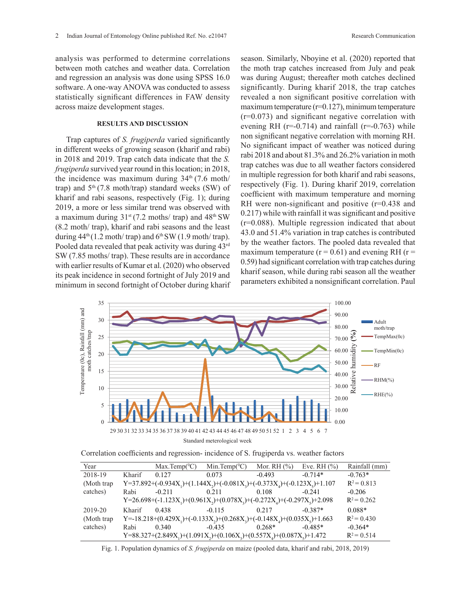analysis was performed to determine correlations between moth catches and weather data. Correlation and regression an analysis was done using SPSS 16.0 software. A one-way ANOVA was conducted to assess statistically significant differences in FAW density across maize development stages.

## **RESULTS AND DISCUSSION**

Trap captures of *S. frugiperda* varied significantly in different weeks of growing season (kharif and rabi) in 2018 and 2019. Trap catch data indicate that the *S. frugiperda* survived year round in this location; in 2018, the incidence was maximum during  $34<sup>th</sup>$  (7.6 moth/ trap) and  $5<sup>th</sup>$  (7.8 moth/trap) standard weeks (SW) of kharif and rabi seasons, respectively (Fig. 1); during 2019, a more or less similar trend was observed with a maximum during  $31^{st}$  (7.2 moths/ trap) and  $48^{th}$  SW (8.2 moth/ trap), kharif and rabi seasons and the least during  $44<sup>th</sup> (1.2 \text{ moth/ trap})$  and  $6<sup>th</sup> SW (1.9 \text{ moth/ trap})$ . Pooled data revealed that peak activity was during 43rd SW (7.85 moths/ trap). These results are in accordance with earlier results of Kumar et al. (2020) who observed its peak incidence in second fortnight of July 2019 and minimum in second fortnight of October during kharif season. Similarly, Nboyine et al. (2020) reported that the moth trap catches increased from July and peak was during August; thereafter moth catches declined significantly. During kharif 2018, the trap catches revealed a non significant positive correlation with maximum temperature  $(r=0.127)$ , minimum temperature (r=0.073) and significant negative correlation with evening RH  $(r=0.714)$  and rainfall  $(r=-0.763)$  while non significant negative correlation with morning RH. No significant impact of weather was noticed during rabi 2018 and about 81.3% and 26.2% variation in moth trap catches was due to all weather factors considered in multiple regression for both kharif and rabi seasons, respectively (Fig. 1). During kharif 2019, correlation coefficient with maximum temperature and morning RH were non-significant and positive (r=0.438 and 0.217) while with rainfall it was significant and positive (r=0.088). Multiple regression indicated that about 43.0 and 51.4% variation in trap catches is contributed by the weather factors. The pooled data revealed that maximum temperature ( $r = 0.61$ ) and evening RH ( $r =$ 0.59) had significant correlation with trap catches during kharif season, while during rabi season all the weather parameters exhibited a nonsignificant correlation. Paul



Correlation coefficients and regression- incidence of S. frugiperda vs. weather factors Correlation coefficients and regression- incidence of *S. frugiperda* vs. weather factors

| Year       |                                                                                                                                   | $Max.Temp(^{0}C)$                                                                                                                     | Min.Temp $(^{0}C)$ | Mor. RH $(\%)$ | Eve. RH $(\%$ ) | Rainfall (mm) |
|------------|-----------------------------------------------------------------------------------------------------------------------------------|---------------------------------------------------------------------------------------------------------------------------------------|--------------------|----------------|-----------------|---------------|
| 2018-19    | Kharif                                                                                                                            | 0.127                                                                                                                                 | 0.073              | $-0.493$       | $-0.714*$       | $-0.763*$     |
| (Moth trap |                                                                                                                                   | Y=37.892+(-0.934X <sub>1</sub> )+(1.144X <sub>2</sub> )+(-0.081X <sub>3</sub> )+(-0.373X <sub>4</sub> )+(-0.123X <sub>5</sub> )+1.107 |                    |                |                 | $R^2 = 0.813$ |
| catches)   | Rabi                                                                                                                              | $-0.211$                                                                                                                              | 0.211              | 0.108          | $-0.241$        | $-0.206$      |
|            |                                                                                                                                   | Y=26.698+(-1.123X <sub>1</sub> )+(0.961X <sub>2</sub> )+(0.078X <sub>2</sub> )+(-0.272X <sub>4</sub> )+(-0.297X <sub>5</sub> )+2.098  |                    |                |                 | $R^2 = 0.262$ |
| 2019-20    | Kharif                                                                                                                            | 0.438                                                                                                                                 | $-0.115$           | 0.217          | $-0.387*$       | $0.088*$      |
| (Moth trap |                                                                                                                                   | Y=-18.218+(0.429X <sub>1</sub> )+(-0.133X <sub>2</sub> )+(0.268X <sub>2</sub> )+(-0.148X <sub>4</sub> )+(0.035X <sub>5</sub> )+1.663  |                    |                |                 | $R^2 = 0.430$ |
| catches)   | Rabi                                                                                                                              | 0.340                                                                                                                                 | $-0.435$           | $0.268*$       | $-0.485*$       | $-0.364*$     |
|            | Y=88.327+(2.849X <sub>1</sub> )+(1.091X <sub>2</sub> )+(0.106X <sub>3</sub> )+(0.557X <sub>4</sub> )+(0.087X <sub>5</sub> )+1.472 |                                                                                                                                       |                    |                |                 | $R^2 = 0.514$ |

Fig. 1. Population dynamics of *S. frugiperda* on maize (pooled data, kharif and rabi, 2018, 2019)